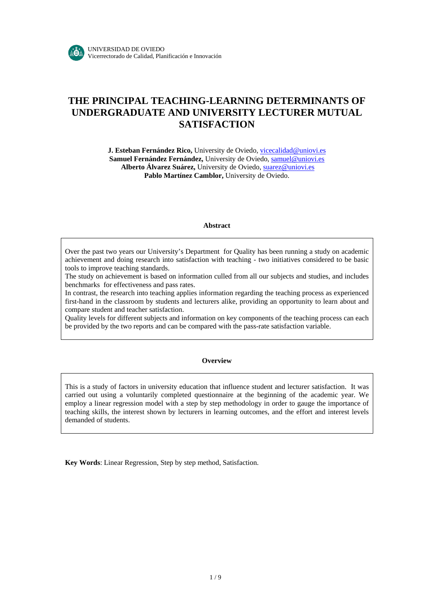# **THE PRINCIPAL TEACHING-LEARNING DETERMINANTS OF UNDERGRADUATE AND UNIVERSITY LECTURER MUTUAL SATISFACTION**

**J. Esteban Fernández Rico,** University de Oviedo, vicecalidad@uniovi.es Samuel Fernández Fernández, University de Oviedo, samuel@uniovi.es  **Alberto Álvarez Suárez,** University de Oviedo, suarez@uniovi.es Pablo Martínez Camblor, University de Oviedo.

#### **Abstract**

Over the past two years our University's Department for Quality has been running a study on academic achievement and doing research into satisfaction with teaching - two initiatives considered to be basic tools to improve teaching standards.

The study on achievement is based on information culled from all our subjects and studies, and includes benchmarks for effectiveness and pass rates.

In contrast, the research into teaching applies information regarding the teaching process as experienced first-hand in the classroom by students and lecturers alike, providing an opportunity to learn about and compare student and teacher satisfaction.

Quality levels for different subjects and information on key components of the teaching process can each be provided by the two reports and can be compared with the pass-rate satisfaction variable.

#### **Overview**

This is a study of factors in university education that influence student and lecturer satisfaction. It was carried out using a voluntarily completed questionnaire at the beginning of the academic year. We employ a linear regression model with a step by step methodology in order to gauge the importance of teaching skills, the interest shown by lecturers in learning outcomes, and the effort and interest levels demanded of students.

**Key Words**: Linear Regression, Step by step method, Satisfaction.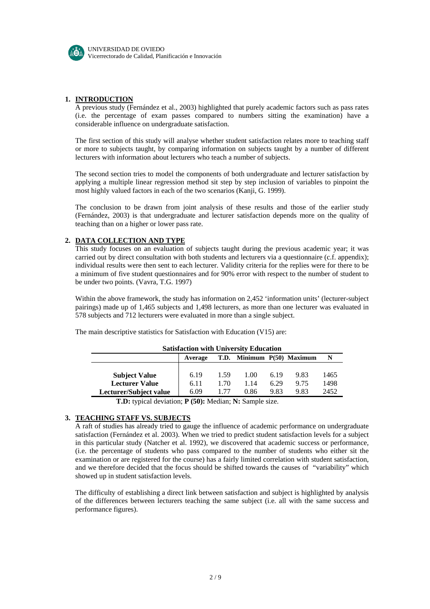

### **1. INTRODUCTION**

A previous study (Fernández et al., 2003) highlighted that purely academic factors such as pass rates (i.e. the percentage of exam passes compared to numbers sitting the examination) have a considerable influence on undergraduate satisfaction.

The first section of this study will analyse whether student satisfaction relates more to teaching staff or more to subjects taught, by comparing information on subjects taught by a number of different lecturers with information about lecturers who teach a number of subjects.

The second section tries to model the components of both undergraduate and lecturer satisfaction by applying a multiple linear regression method sit step by step inclusion of variables to pinpoint the most highly valued factors in each of the two scenarios (Kanji, G. 1999).

The conclusion to be drawn from joint analysis of these results and those of the earlier study (Fernández, 2003) is that undergraduate and lecturer satisfaction depends more on the quality of teaching than on a higher or lower pass rate.

### **2. DATA COLLECTION AND TYPE**

This study focuses on an evaluation of subjects taught during the previous academic year; it was carried out by direct consultation with both students and lecturers via a questionnaire (c.f. appendix); individual results were then sent to each lecturer. Validity criteria for the replies were for there to be a minimum of five student questionnaires and for 90% error with respect to the number of student to be under two points. (Vavra, T.G. 1997)

Within the above framework, the study has information on 2,452 'information units' (lecturer-subject pairings) made up of 1,465 subjects and 1,498 lecturers, as more than one lecturer was evaluated in 578 subjects and 712 lecturers were evaluated in more than a single subject.

The main descriptive statistics for Satisfaction with Education (V15) are:

| <b>Satisfaction with University Education</b> |         |         |                            |      |      |      |
|-----------------------------------------------|---------|---------|----------------------------|------|------|------|
|                                               | Average |         | T.D. Minimum P(50) Maximum |      |      |      |
|                                               |         |         |                            |      |      |      |
| <b>Subject Value</b>                          | 6.19    | 1.59    | 1.00                       | 6.19 | 9.83 | 1465 |
| <b>Lecturer Value</b>                         | 6.11    | 1.70    | 1.14                       | 6.29 | 9.75 | 1498 |
| Lecturer/Subject value                        | 6.09    | 177     | 0.86                       | 9.83 | 9.83 | 2452 |
| .                                             | .       | - - - - | ____                       |      |      |      |

**T.D:** typical deviation; **P (50):** Median; **N:** Sample size.

#### **3. TEACHING STAFF VS. SUBJECTS**

A raft of studies has already tried to gauge the influence of academic performance on undergraduate satisfaction (Fernández et al. 2003). When we tried to predict student satisfaction levels for a subject in this particular study (Natcher et al. 1992), we discovered that academic success or performance, (i.e. the percentage of students who pass compared to the number of students who either sit the examination or are registered for the course) has a fairly limited correlation with student satisfaction, and we therefore decided that the focus should be shifted towards the causes of "variability" which showed up in student satisfaction levels.

The difficulty of establishing a direct link between satisfaction and subject is highlighted by analysis of the differences between lecturers teaching the same subject (i.e. all with the same success and performance figures).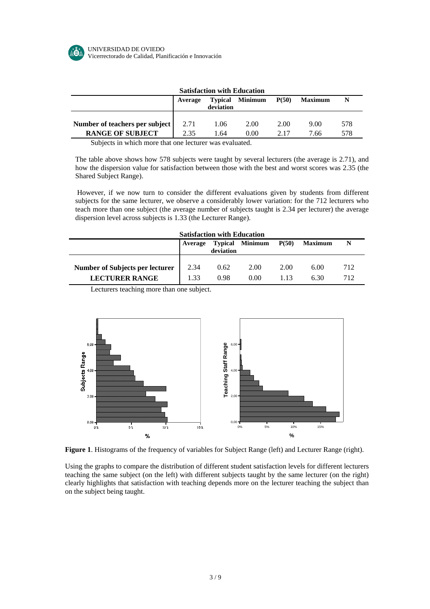

| <b>Satisfaction with Education</b> |         |           |                        |       |                |     |
|------------------------------------|---------|-----------|------------------------|-------|----------------|-----|
|                                    | Average | deviation | <b>Typical Minimum</b> | P(50) | <b>Maximum</b> |     |
| Number of teachers per subject     | 2.71    | 1.06      | 2.00                   | 2.00  | 9.00           | 578 |
| <b>RANGE OF SUBJECT</b>            | 2.35    | 1.64      | 0.00                   | 2.17  | 7.66           | 578 |

Subjects in which more that one lecturer was evaluated.

The table above shows how 578 subjects were taught by several lecturers (the average is 2.71), and how the dispersion value for satisfaction between those with the best and worst scores was 2.35 (the Shared Subject Range).

However, if we now turn to consider the diffe rent evaluations given by students from different subjects for the same lecturer, we observe a considerably lower variation: for the 712 lecturers who teach more than one subject (the average number of subjects taught is 2.34 per lecturer) the average dispersion level across subjects is 1.33 (the Lectur er Range).

| <b>Satisfaction with Education</b> |         |           |                        |       |                |     |
|------------------------------------|---------|-----------|------------------------|-------|----------------|-----|
|                                    | Average | deviation | <b>Typical Minimum</b> | P(50) | <b>Maximum</b> |     |
|                                    |         |           |                        |       |                |     |
| Number of Subjects per lecturer    | 2.34    | 0.62      | 2.00                   | 2.00  | 6.00           | 712 |
| <b>LECTURER RANGE</b>              | 1.33    | 0.98      | 0.00                   | 113   | 6.30           | 712 |

Lecturers teaching more than one subject.



**Figure 1**. Histograms of the frequency of variables for Subject Range (left) and Lecturer Range (right).

Using the graphs to compare the distribution of different student satisfaction levels for different lecturers teaching the same subject (on the left) with different subjects taught by the same lecturer (on the right) clearly highlights that satisfaction with teaching depends more on the lecturer teaching the subject than on the subject being taught.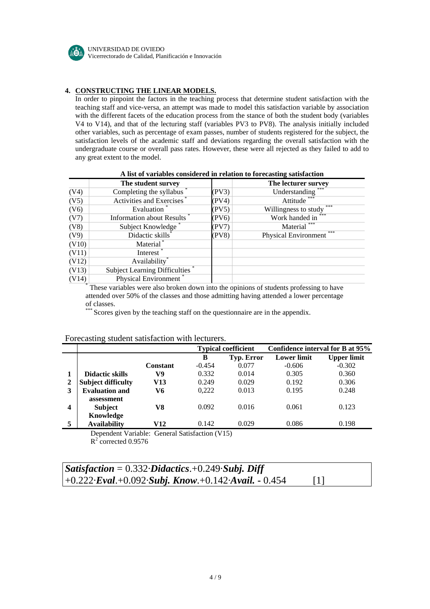

## **4. CONSTRUCTING THE LINEAR MODELS.**

In order to pinpoint the factors in the teaching process that determine student satisfaction with the teaching staff and vice-versa, an attempt was made to model this satisfaction variable by association with the different facets of the education process from the stance of both the student body (variables V4 to V14), and that of the lecturing staff (variables PV3 to PV8). The analysis initially included other variables, such as percentage of exam passes, number of students registered for the subject, the satisfaction levels of the academic staff and deviations regarding the overall satisfaction with the undergraduate course or overall pass rates. However, these were all rejected as they failed to add to any great extent to the model.

|       | The student survey            |       | The lecturer survey         |
|-------|-------------------------------|-------|-----------------------------|
| (V4)  | Completing the syllabus       | (PV3) | Understanding               |
| (V5)  | Activities and Exercises      | (PV4) | Attitude                    |
| (V6)  | Evaluation                    | (PV5) | ***<br>Willingness to study |
| (V7)  | Information about Results     | (PV6) | Work handed in              |
| (V8)  | Subject Knowledge             | (PV7) | Material                    |
| (V9)  | Didactic skills               | (PV8) | ***<br>Physical Environment |
| (V10) | Material <sup>*</sup>         |       |                             |
| (V11) | Interest                      |       |                             |
| (V12) | Availability <sup>*</sup>     |       |                             |
| (V13) | Subject Learning Difficulties |       |                             |
| (V14) | Physical Environment          |       |                             |

#### **A list of variables considered in relation to forecasting satisfaction**

attended over 50% of the classes and those admitting having attended a lower percentage of classes.

\*\*\* Scores given by the teaching staff on the questionnaire are in the appendix.

## Forecasting student satisfaction with lecturers.

|              |                                                |          |          | <b>Typical coefficient</b> |                    | Confidence interval for B at 95% |
|--------------|------------------------------------------------|----------|----------|----------------------------|--------------------|----------------------------------|
|              |                                                |          | в        | Typ. Error                 | <b>Lower limit</b> | <b>Upper limit</b>               |
|              |                                                | Constant | $-0.454$ | 0.077                      | $-0.606$           | $-0.302$                         |
|              | <b>Didactic skills</b>                         | V9       | 0.332    | 0.014                      | 0.305              | 0.360                            |
| $\mathbf{2}$ | <b>Subject difficulty</b>                      | V13      | 0.249    | 0.029                      | 0.192              | 0.306                            |
| 3            | <b>Evaluation and</b>                          | V6       | 0,222    | 0.013                      | 0.195              | 0.248                            |
|              | assessment                                     |          |          |                            |                    |                                  |
| 4            | <b>Subject</b>                                 | V8       | 0.092    | 0.016                      | 0.061              | 0.123                            |
|              | Knowledge                                      |          |          |                            |                    |                                  |
| 5            | <b>Availability</b>                            | V12      | 0.142    | 0.029                      | 0.086              | 0.198                            |
|              | Dopendant Variable: General Setisfaction (V15) |          |          |                            |                    |                                  |

Dependent Variable: General Satisfaction (V15)  $R^2$  corrected 0.9576

| Satisfaction = $0.332 \cdot Didactics.+0.249 \cdot Subj$ . Diff             |                   |  |
|-----------------------------------------------------------------------------|-------------------|--|
| $+0.222 \cdot$ Eval.+0.092 $\cdot$ Subj. Know.+0.142 $\cdot$ Avail. - 0.454 | $\lceil 1 \rceil$ |  |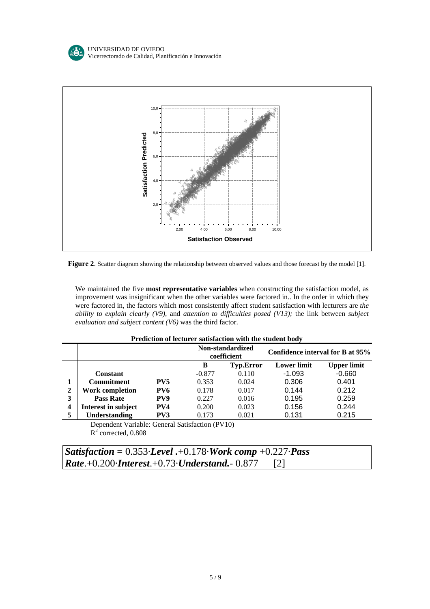



**Figure 2**. Scatter diagram showing the relationship between observed values and those forecast by the model [1].

We maintained the five **most representative variables** when constructing the satisfaction model, as improvement was insignificant when the other variables were factored in.. In the order in which they were factored in, the factors which most consistently affect student satisfaction with lecturers are *the ability to explain clearly (V9)*, and *attention to difficulties posed (V13);* the link between *subject evaluation and subject content (V6)* was the third factor.

| Prediction of lecturer satisfaction with the student body |  |
|-----------------------------------------------------------|--|
|-----------------------------------------------------------|--|

|   |                                                                                                                                                                                                                                                                                                                                           |                 |          | Non-standardized<br>coefficient | Confidence interval for B at 95% |                    |
|---|-------------------------------------------------------------------------------------------------------------------------------------------------------------------------------------------------------------------------------------------------------------------------------------------------------------------------------------------|-----------------|----------|---------------------------------|----------------------------------|--------------------|
|   |                                                                                                                                                                                                                                                                                                                                           |                 | В        | <b>Typ.Error</b>                | <b>Lower limit</b>               | <b>Upper limit</b> |
|   | <b>Constant</b>                                                                                                                                                                                                                                                                                                                           |                 | $-0.877$ | 0.110                           | $-1.093$                         | $-0.660$           |
|   | <b>Commitment</b>                                                                                                                                                                                                                                                                                                                         | PV <sub>5</sub> | 0.353    | 0.024                           | 0.306                            | 0.401              |
| 2 | <b>Work completion</b>                                                                                                                                                                                                                                                                                                                    | PV6             | 0.178    | 0.017                           | 0.144                            | 0.212              |
| 3 | <b>Pass Rate</b>                                                                                                                                                                                                                                                                                                                          | PV9             | 0.227    | 0.016                           | 0.195                            | 0.259              |
| 4 | Interest in subject                                                                                                                                                                                                                                                                                                                       | PV4             | 0.200    | 0.023                           | 0.156                            | 0.244              |
| 5 | Understanding                                                                                                                                                                                                                                                                                                                             | PV3             | 0.173    | 0.021                           | 0.131                            | 0.215              |
|   | $\mathbf{D}$ , $\mathbf{D}$ , $\mathbf{D}$ , $\mathbf{D}$ , $\mathbf{D}$ , $\mathbf{D}$ , $\mathbf{D}$ , $\mathbf{D}$ , $\mathbf{D}$ , $\mathbf{D}$ , $\mathbf{D}$ , $\mathbf{D}$ , $\mathbf{D}$ , $\mathbf{D}$ , $\mathbf{D}$ , $\mathbf{D}$ , $\mathbf{D}$ , $\mathbf{D}$ , $\mathbf{D}$ , $\mathbf{D}$ , $\mathbf{D}$ , $\mathbf{D}$ , |                 |          |                                 |                                  |                    |

Dependent Variable: General Satisfaction (PV10)  $R^2$  corrected, 0.808

| Satisfaction = $0.353$ Level .+0.178 Work comp +0.227 Pass               |  |
|--------------------------------------------------------------------------|--|
| <b>Rate.</b> +0.200 <b><i>Interest.</i>+0.73<i>Understand.</i>-0.877</b> |  |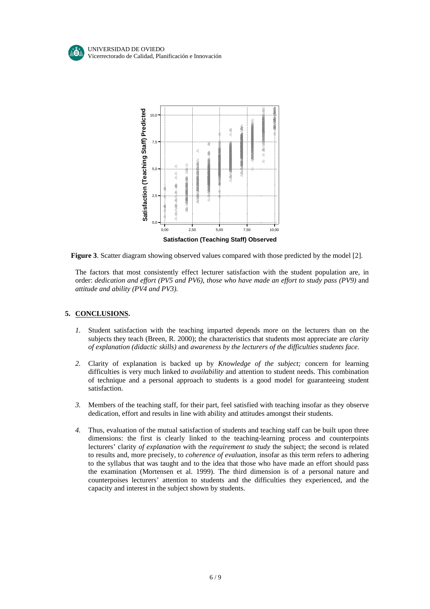

Figure 3. Scatter diagram showing observed values compared with those predicted by the model [2].

The factors that most consistently effect lecturer satisfaction with the student population are, in order: *dedication and effort (PV5 and PV6)*, *those who have made an effort to study pass (PV9)* and *attitude and ability (PV4 and PV3).*

## **5. CONCLUSIONS .**

- *1.* Student satisfaction with the teaching imparted depends more on the lecturers than on the subjects they teach (Breen, R. 2000); the characteristics that students most appreciate are *clarity of explanation (didactic skills)* and *awareness by the lecturers of the difficulties students face*.
- *2.* Clarity of explanation is backed up by *Knowledge of the subject;* concern for learning difficulties is very much linked to *availability* and attention to student needs. This combination of technique and a personal approach to students is a good model for guaranteeing student satisfaction.
- *3.* Members of the teaching staff, for their part, feel satisfied with teaching insofar as they observe dedication, effort and results in line with ability and attitudes amongst their students.
- *4.* Thus, evaluation of the mutual satisfaction of students and teaching staff can be built upon three dimensions: the first is clearly linked to the teaching-learning process and counterpoints lecturers' clarity *of explanation* with the *requirement to study* the subject; the second is related to results and, more precisely, to *coherence of evaluation,* insofar as this term refers to adhering to the syllabus that was taught and to the idea that those who have made an effort should pass the examination (Mortensen et al. 1999). The third dimension is of a personal nature and counterpoises lecturers' attention to students and the difficulties they experienced, and the capacity and interest in the subject shown by students.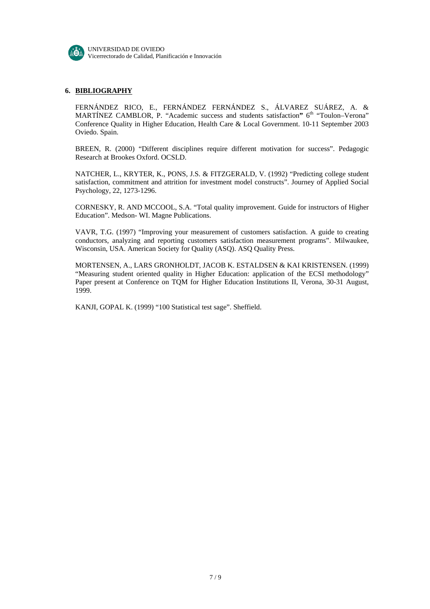

## **6. BIBLIOGRAPHY**

FERNÁNDEZ RICO, E., FERNÁNDEZ FERNÁNDEZ S., ÁLVAREZ SUÁREZ, A. & MARTÍNEZ CAMBLOR, P. "Academic success and students satisfaction" 6<sup>th</sup> "Toulon–Verona" Conference Quality in Higher Education, Health Care & Local Government. 10-11 September 2003 Oviedo. Spain.

BREEN, R. (2000) "Different disciplines require different motivation for success". Pedagogic Research at Brookes Oxford. OCSLD.

NATCHER, L., KRYTER, K., PONS, J.S. & FITZGERALD, V. (1992) "Predicting college student satisfaction, commitment and attrition for investment model constructs". Journey of Applied Social Psychology, 22, 1273-1296.

CORNESKY, R. AND MCCOOL, S.A. "Total quality improvement. Guide for instructors of Higher Education". Medson- WI. Magne Publications.

VAVR, T.G. (1997) "Improving your measurement of customers satisfaction. A guide to creating conductors, analyzing and reporting customers satisfaction measurement programs". Milwaukee, Wisconsin, USA. American Society for Quality (ASQ). ASQ Quality Press.

MORTENSEN, A., LARS GRONHOLDT, JACOB K. ESTALDSEN & KAI KRISTENSEN. (1999) "Measuring student oriented quality in Higher Education: application of the ECSI methodology" Paper present at Conference on TQM for Higher Education Institutions II, Verona, 30-31 August, 1999.

KANJI, GOPAL K. (1999) "100 Statistical test sage". Sheffield.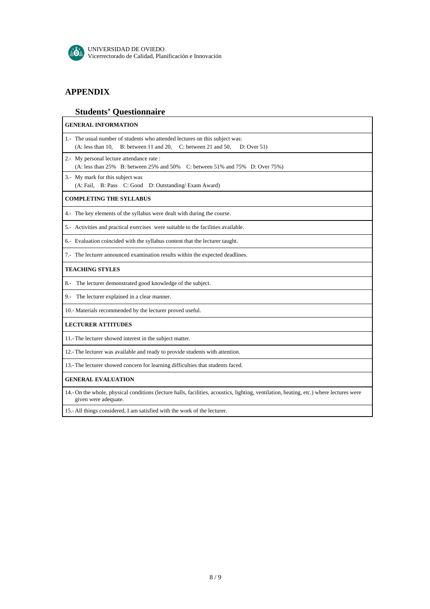

# **APPENDIX**

# **Students' Questionnaire**

| <b>GENERAL INFORMATION</b>                                                                                                                                      |
|-----------------------------------------------------------------------------------------------------------------------------------------------------------------|
| 1.- The usual number of students who attended lectures on this subject was:<br>B: between 11 and 20, C: between 21 and 50,<br>(A: less than 10,<br>D: Over 51)  |
| 2.- My personal lecture attendance rate :<br>$(A: less than 25\%$ B: between 25% and 50%<br>C: between 51% and 75% D: Over 75%)                                 |
| 3.- My mark for this subject was<br>(A: Fail, B: Pass C: Good D: Outstanding/Exam Award)                                                                        |
| <b>COMPLETING THE SYLLABUS</b>                                                                                                                                  |
| 4.- The key elements of the syllabus were dealt with during the course.                                                                                         |
| 5.- Activities and practical exercises were suitable to the facilities available.                                                                               |
| 6.- Evaluation coincided with the syllabus content that the lecturer taught.                                                                                    |
| 7.- The lecturer announced examination results within the expected deadlines.                                                                                   |
| <b>TEACHING STYLES</b>                                                                                                                                          |
| The lecturer demonstrated good knowledge of the subject.<br>8.-                                                                                                 |
| The lecturer explained in a clear manner.<br>9.-                                                                                                                |
| 10.- Materials recommended by the lecturer proved useful.                                                                                                       |
| <b>LECTURER ATTITUDES</b>                                                                                                                                       |
| 11.-The lecturer showed interest in the subject matter.                                                                                                         |
| 12.-The lecturer was available and ready to provide students with attention.                                                                                    |
| 13.-The lecturer showed concern for learning difficulties that students faced.                                                                                  |
| <b>GENERAL EVALUATION</b>                                                                                                                                       |
| 14.- On the whole, physical conditions (lecture halls, facilities, acoustics, lighting, ventilation, heating, etc.) where lectures were<br>given were adequate. |
| 15.- All things considered, I am satisfied with the work of the lecturer.                                                                                       |